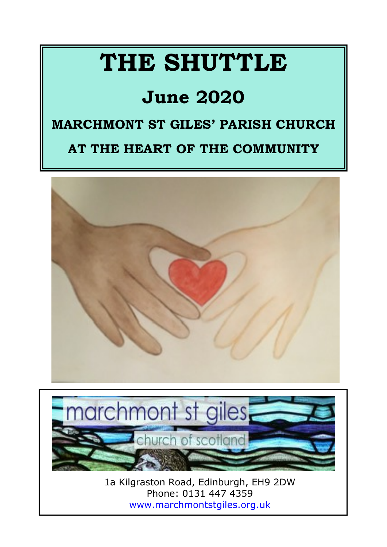# **THE SHUTTLE**

## **June 2020**

#### **MARCHMONT ST GILES' PARISH CHURCH**

#### **AT THE HEART OF THE COMMUNITY**





1a Kilgraston Road, Edinburgh, EH9 2DW Phone: 0131 447 4359 <www.marchmontstgiles.org.uk>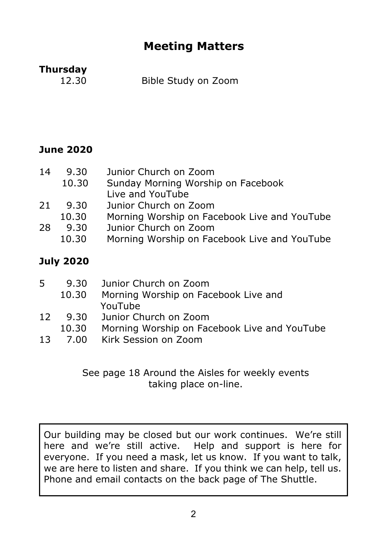#### **Meeting Matters**

### **Thursday**<br>12.30

Bible Study on Zoom

#### **June 2020**

| 14 | 9.30  | Junior Church on Zoom                        |
|----|-------|----------------------------------------------|
|    | 10.30 | Sunday Morning Worship on Facebook           |
|    |       | Live and YouTube                             |
| 21 | 9.30  | Junior Church on Zoom                        |
|    | 10.30 | Morning Worship on Facebook Live and YouTube |
| 28 | 9.30  | Junior Church on Zoom                        |
|    | 10.30 | Morning Worship on Facebook Live and YouTube |
|    |       |                                              |

#### **July 2020**

| 5.              | 9.30  | Junior Church on Zoom                        |
|-----------------|-------|----------------------------------------------|
|                 | 10.30 | Morning Worship on Facebook Live and         |
|                 |       | YouTube                                      |
| 12 <sup>7</sup> |       | 9.30 Junior Church on Zoom                   |
|                 | 10.30 | Morning Worship on Facebook Live and YouTube |
|                 |       |                                              |

13 7.00 Kirk Session on Zoom

#### See page 18 Around the Aisles for weekly events taking place on-line.

Our building may be closed but our work continues. We're still here and we're still active. Help and support is here for everyone. If you need a mask, let us know. If you want to talk, we are here to listen and share. If you think we can help, tell us. Phone and email contacts on the back page of The Shuttle.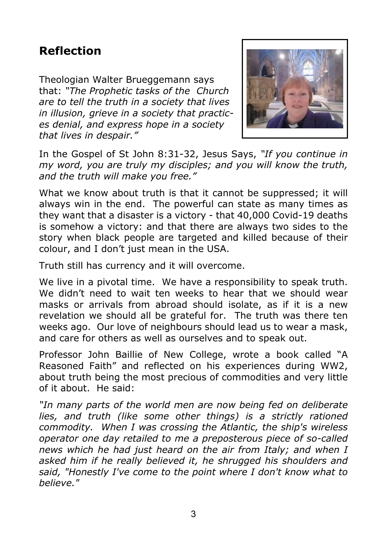#### **Reflection**

Theologian Walter Brueggemann says that: *"The Prophetic tasks of the Church are to tell the truth in a society that lives in illusion, grieve in a society that practices denial, and express hope in a society that lives in despair."*



In the Gospel of St John 8:31-32, Jesus Says, *"If you continue in my word, you are truly my disciples; and you will know the truth, and the truth will make you free."*

What we know about truth is that it cannot be suppressed; it will always win in the end. The powerful can state as many times as they want that a disaster is a victory - that 40,000 Covid-19 deaths is somehow a victory: and that there are always two sides to the story when black people are targeted and killed because of their colour, and I don't just mean in the USA.

Truth still has currency and it will overcome.

We live in a pivotal time. We have a responsibility to speak truth. We didn't need to wait ten weeks to hear that we should wear masks or arrivals from abroad should isolate, as if it is a new revelation we should all be grateful for. The truth was there ten weeks ago. Our love of neighbours should lead us to wear a mask, and care for others as well as ourselves and to speak out.

Professor John Baillie of New College, wrote a book called "A Reasoned Faith" and reflected on his experiences during WW2, about truth being the most precious of commodities and very little of it about. He said:

*"In many parts of the world men are now being fed on deliberate lies, and truth (like some other things) is a strictly rationed commodity. When I was crossing the Atlantic, the ship's wireless operator one day retailed to me a preposterous piece of so-called news which he had just heard on the air from Italy; and when I asked him if he really believed it, he shrugged his shoulders and said, "Honestly I've come to the point where I don't know what to believe."*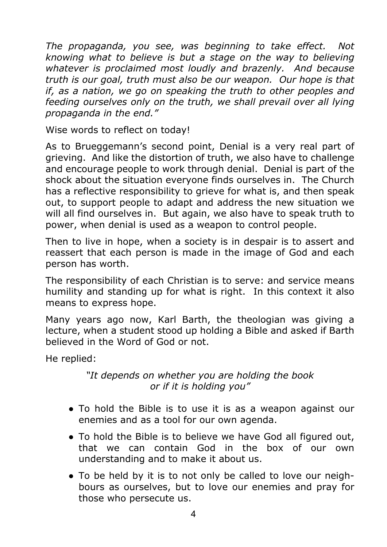*The propaganda, you see, was beginning to take effect. Not knowing what to believe is but a stage on the way to believing whatever is proclaimed most loudly and brazenly. And because truth is our goal, truth must also be our weapon. Our hope is that if, as a nation, we go on speaking the truth to other peoples and feeding ourselves only on the truth, we shall prevail over all lying propaganda in the end."*

Wise words to reflect on today!

As to Brueggemann's second point, Denial is a very real part of grieving. And like the distortion of truth, we also have to challenge and encourage people to work through denial. Denial is part of the shock about the situation everyone finds ourselves in. The Church has a reflective responsibility to grieve for what is, and then speak out, to support people to adapt and address the new situation we will all find ourselves in. But again, we also have to speak truth to power, when denial is used as a weapon to control people.

Then to live in hope, when a society is in despair is to assert and reassert that each person is made in the image of God and each person has worth.

The responsibility of each Christian is to serve: and service means humility and standing up for what is right. In this context it also means to express hope.

Many years ago now, Karl Barth, the theologian was giving a lecture, when a student stood up holding a Bible and asked if Barth believed in the Word of God or not.

He replied:

#### *"It depends on whether you are holding the book or if it is holding you"*

- To hold the Bible is to use it is as a weapon against our enemies and as a tool for our own agenda.
- To hold the Bible is to believe we have God all figured out, that we can contain God in the box of our own understanding and to make it about us.
- To be held by it is to not only be called to love our neighbours as ourselves, but to love our enemies and pray for those who persecute us.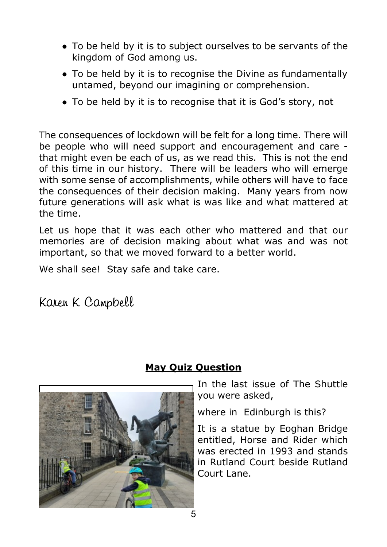- To be held by it is to subject ourselves to be servants of the kingdom of God among us.
- To be held by it is to recognise the Divine as fundamentally untamed, beyond our imagining or comprehension.
- To be held by it is to recognise that it is God's story, not

The consequences of lockdown will be felt for a long time. There will be people who will need support and encouragement and care that might even be each of us, as we read this. This is not the end of this time in our history. There will be leaders who will emerge with some sense of accomplishments, while others will have to face the consequences of their decision making. Many years from now future generations will ask what is was like and what mattered at the time.

Let us hope that it was each other who mattered and that our memories are of decision making about what was and was not important, so that we moved forward to a better world.

We shall see! Stay safe and take care.

Karen K Campbell



#### **May Quiz Question**

In the last issue of The Shuttle you were asked,

where in Edinburgh is this?

It is a statue by Eoghan Bridge entitled, Horse and Rider which was erected in 1993 and stands in Rutland Court beside Rutland Court Lane.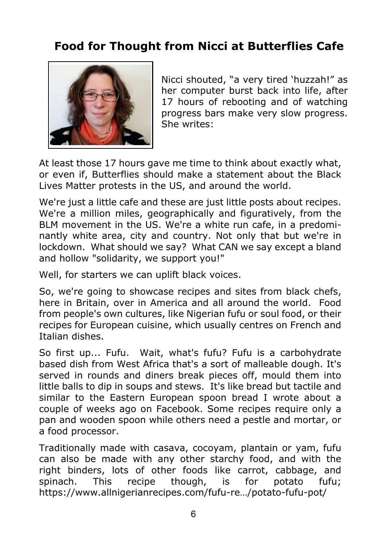#### **Food for Thought from Nicci at Butterflies Cafe**



Nicci shouted, "a very tired 'huzzah!" as her computer burst back into life, after 17 hours of rebooting and of watching progress bars make very slow progress. She writes:

At least those 17 hours gave me time to think about exactly what, or even if, Butterflies should make a statement about the Black Lives Matter protests in the US, and around the world.

We're just a little cafe and these are just little posts about recipes. We're a million miles, geographically and figuratively, from the BLM movement in the US. We're a white run cafe, in a predominantly white area, city and country. Not only that but we're in lockdown. What should we say? What CAN we say except a bland and hollow "solidarity, we support you!"

Well, for starters we can uplift black voices.

So, we're going to showcase recipes and sites from black chefs, here in Britain, over in America and all around the world. Food from people's own cultures, like Nigerian fufu or soul food, or their recipes for European cuisine, which usually centres on French and Italian dishes.

So first up... Fufu. Wait, what's fufu? Fufu is a carbohydrate based dish from West Africa that's a sort of malleable dough. It's served in rounds and diners break pieces off, mould them into little balls to dip in soups and stews. It's like bread but tactile and similar to the Eastern European spoon bread I wrote about a couple of weeks ago on Facebook. Some recipes require only a pan and wooden spoon while others need a pestle and mortar, or a food processor.

Traditionally made with casava, cocoyam, plantain or yam, fufu can also be made with any other starchy food, and with the right binders, lots of other foods like carrot, cabbage, and spinach. This recipe though, is for potato fufu; https://www.allnigerianrecipes.com/fufu-re…/potato-fufu-pot/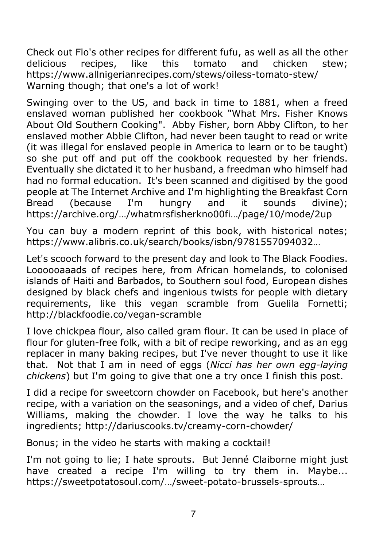Check out Flo's other recipes for different fufu, as well as all the other delicious recipes, like this tomato and chicken stew; https://www.allnigerianrecipes.com/stews/oiless-tomato-stew/ Warning though; that one's a lot of work!

Swinging over to the US, and back in time to 1881, when a freed enslaved woman published her cookbook "What Mrs. Fisher Knows About Old Southern Cooking". Abby Fisher, born Abby Clifton, to her enslaved mother Abbie Clifton, had never been taught to read or write (it was illegal for enslaved people in America to learn or to be taught) so she put off and put off the cookbook requested by her friends. Eventually she dictated it to her husband, a freedman who himself had had no formal education. It's been scanned and digitised by the good people at The Internet Archive and I'm highlighting the Breakfast Corn Bread (because I'm hungry and it sounds divine); https://archive.org/…/whatmrsfisherkno00fi…/page/10/mode/2up

You can buy a modern reprint of this book, with historical notes; https://www.alibris.co.uk/search/books/isbn/9781557094032…

Let's scooch forward to the present day and look to The Black Foodies. Loooooaaads of recipes here, from African homelands, to colonised islands of Haiti and Barbados, to Southern soul food, European dishes designed by black chefs and ingenious twists for people with dietary requirements, like this vegan scramble from Guelila Fornetti; http://blackfoodie.co/vegan-scramble

I love chickpea flour, also called gram flour. It can be used in place of flour for gluten-free folk, with a bit of recipe reworking, and as an egg replacer in many baking recipes, but I've never thought to use it like that. Not that I am in need of eggs (*Nicci has her own egg-laying chickens*) but I'm going to give that one a try once I finish this post.

I did a recipe for sweetcorn chowder on Facebook, but here's another recipe, with a variation on the seasonings, and a video of chef, Darius Williams, making the chowder. I love the way he talks to his ingredients; http://dariuscooks.tv/creamy-corn-chowder/

Bonus; in the video he starts with making a cocktail!

I'm not going to lie; I hate sprouts. But Jenné Claiborne might just have created a recipe I'm willing to try them in. Maybe... https://sweetpotatosoul.com/…/sweet-potato-brussels-sprouts…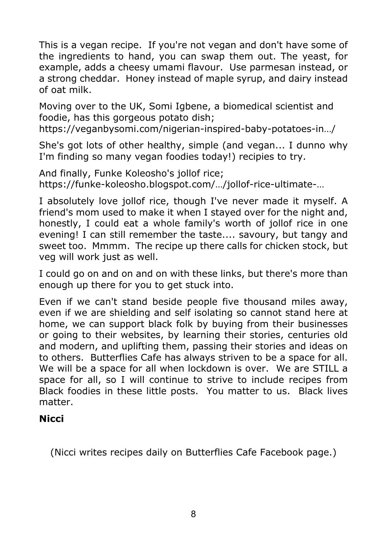This is a vegan recipe. If you're not vegan and don't have some of the ingredients to hand, you can swap them out. The yeast, for example, adds a cheesy umami flavour. Use parmesan instead, or a strong cheddar. Honey instead of maple syrup, and dairy instead of oat milk.

Moving over to the UK, Somi Igbene, a biomedical scientist and foodie, has this gorgeous potato dish;

https://veganbysomi.com/nigerian-inspired-baby-potatoes-in…/

She's got lots of other healthy, simple (and vegan... I dunno why I'm finding so many vegan foodies today!) recipies to try.

And finally, Funke Koleosho's jollof rice; https://funke-koleosho.blogspot.com/…/jollof-rice-ultimate-…

I absolutely love jollof rice, though I've never made it myself. A friend's mom used to make it when I stayed over for the night and, honestly, I could eat a whole family's worth of jollof rice in one evening! I can still remember the taste.... savoury, but tangy and sweet too. Mmmm. The recipe up there calls for chicken stock, but veg will work just as well.

I could go on and on and on with these links, but there's more than enough up there for you to get stuck into.

Even if we can't stand beside people five thousand miles away, even if we are shielding and self isolating so cannot stand here at home, we can support black folk by buying from their businesses or going to their websites, by learning their stories, centuries old and modern, and uplifting them, passing their stories and ideas on to others. Butterflies Cafe has always striven to be a space for all. We will be a space for all when lockdown is over. We are STILL a space for all, so I will continue to strive to include recipes from Black foodies in these little posts. You matter to us. Black lives matter.

#### **Nicci**

(Nicci writes recipes daily on Butterflies Cafe Facebook page.)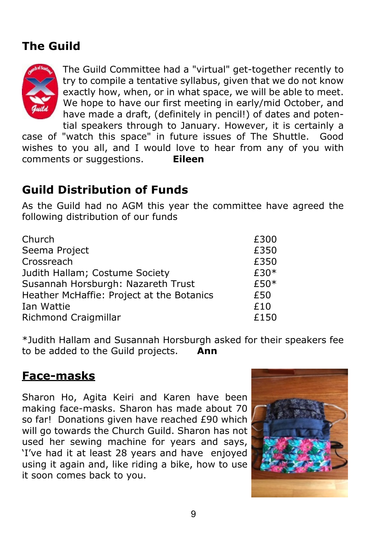#### **The Guild**



The Guild Committee had a "virtual" get-together recently to try to compile a tentative syllabus, given that we do not know exactly how, when, or in what space, we will be able to meet. We hope to have our first meeting in early/mid October, and have made a draft, (definitely in pencil!) of dates and potential speakers through to January. However, it is certainly a

case of "watch this space" in future issues of The Shuttle. Good wishes to you all, and I would love to hear from any of you with comments or suggestions. **Eileen**

#### **Guild Distribution of Funds**

As the Guild had no AGM this year the committee have agreed the following distribution of our funds

| Church                                    | £300 |
|-------------------------------------------|------|
| Seema Project                             | £350 |
| Crossreach                                | £350 |
| Judith Hallam; Costume Society            | £30* |
| Susannah Horsburgh: Nazareth Trust        | £50* |
| Heather McHaffie: Project at the Botanics | £50  |
| Ian Wattie                                | £10  |
| Richmond Craigmillar                      | £150 |

\*Judith Hallam and Susannah Horsburgh asked for their speakers fee to be added to the Guild projects. **Ann**

#### **Face-masks**

Sharon Ho, Agita Keiri and Karen have been making face-masks. Sharon has made about 70 so far! Donations given have reached £90 which will go towards the Church Guild. Sharon has not used her sewing machine for years and says, 'I've had it at least 28 years and have enjoyed using it again and, like riding a bike, how to use it soon comes back to you.

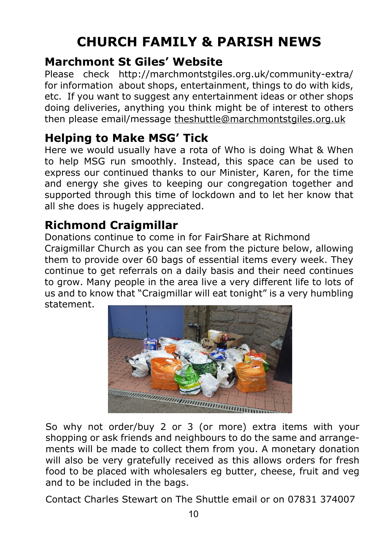### **CHURCH FAMILY & PARISH NEWS**

#### **Marchmont St Giles' Website**

Please check http://marchmontstgiles.org.uk/community-extra/ for information about shops, entertainment, things to do with kids, etc. If you want to suggest any entertainment ideas or other shops doing deliveries, anything you think might be of interest to others then please email/message [t](mailto:theshuttle@marchmontstgiles.org.uk)heshuttle@marchmontstgiles.org.uk

#### **Helping to Make MSG' Tick**

Here we would usually have a rota of Who is doing What & When to help MSG run smoothly. Instead, this space can be used to express our continued thanks to our Minister, Karen, for the time and energy she gives to keeping our congregation together and supported through this time of lockdown and to let her know that all she does is hugely appreciated.

#### **Richmond Craigmillar**

Donations continue to come in for FairShare at Richmond Craigmillar Church as you can see from the picture below, allowing them to provide over 60 bags of essential items every week. They continue to get referrals on a daily basis and their need continues to grow. Many people in the area live a very different life to lots of us and to know that "Craigmillar will eat tonight" is a very humbling statement.



So why not order/buy 2 or 3 (or more) extra items with your shopping or ask friends and neighbours to do the same and arrangements will be made to collect them from you. A monetary donation will also be very gratefully received as this allows orders for fresh food to be placed with wholesalers eg butter, cheese, fruit and veg and to be included in the bags.

Contact Charles Stewart on The Shuttle email or on 07831 374007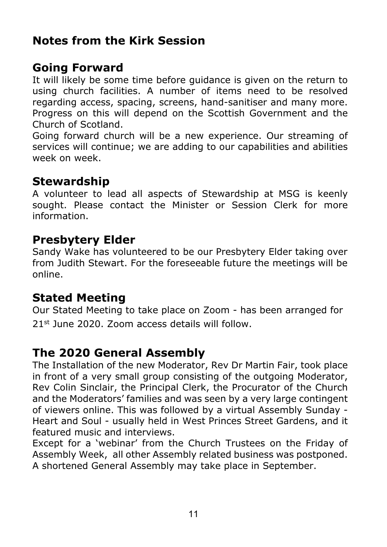#### **Notes from the Kirk Session**

#### **Going Forward**

It will likely be some time before guidance is given on the return to using church facilities. A number of items need to be resolved regarding access, spacing, screens, hand-sanitiser and many more. Progress on this will depend on the Scottish Government and the Church of Scotland.

Going forward church will be a new experience. Our streaming of services will continue; we are adding to our capabilities and abilities week on week.

#### **Stewardship**

A volunteer to lead all aspects of Stewardship at MSG is keenly sought. Please contact the Minister or Session Clerk for more information.

#### **Presbytery Elder**

Sandy Wake has volunteered to be our Presbytery Elder taking over from Judith Stewart. For the foreseeable future the meetings will be online.

#### **Stated Meeting**

Our Stated Meeting to take place on Zoom - has been arranged for 21st June 2020. Zoom access details will follow.

#### **The 2020 General Assembly**

The Installation of the new Moderator, Rev Dr Martin Fair, took place in front of a very small group consisting of the outgoing Moderator, Rev Colin Sinclair, the Principal Clerk, the Procurator of the Church and the Moderators' families and was seen by a very large contingent of viewers online. This was followed by a virtual Assembly Sunday - Heart and Soul - usually held in West Princes Street Gardens, and it featured music and interviews.

Except for a 'webinar' from the Church Trustees on the Friday of Assembly Week, all other Assembly related business was postponed. A shortened General Assembly may take place in September.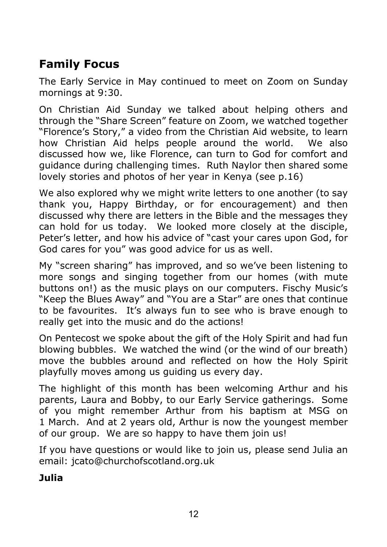#### **Family Focus**

The Early Service in May continued to meet on Zoom on Sunday mornings at 9:30.

On Christian Aid Sunday we talked about helping others and through the "Share Screen" feature on Zoom, we watched together "Florence's Story," a video from the Christian Aid website, to learn how Christian Aid helps people around the world. We also discussed how we, like Florence, can turn to God for comfort and guidance during challenging times. Ruth Naylor then shared some lovely stories and photos of her year in Kenya (see p.16)

We also explored why we might write letters to one another (to say thank you, Happy Birthday, or for encouragement) and then discussed why there are letters in the Bible and the messages they can hold for us today. We looked more closely at the disciple, Peter's letter, and how his advice of "cast your cares upon God, for God cares for you" was good advice for us as well.

My "screen sharing" has improved, and so we've been listening to more songs and singing together from our homes (with mute buttons on!) as the music plays on our computers. Fischy Music's "Keep the Blues Away" and "You are a Star" are ones that continue to be favourites. It's always fun to see who is brave enough to really get into the music and do the actions!

On Pentecost we spoke about the gift of the Holy Spirit and had fun blowing bubbles. We watched the wind (or the wind of our breath) move the bubbles around and reflected on how the Holy Spirit playfully moves among us guiding us every day.

The highlight of this month has been welcoming Arthur and his parents, Laura and Bobby, to our Early Service gatherings. Some of you might remember Arthur from his baptism at MSG on 1 March. And at 2 years old, Arthur is now the youngest member of our group. We are so happy to have them join us!

If you have questions or would like to join us, please send Julia an email: jcato@churchofscotland.org.uk

**Julia**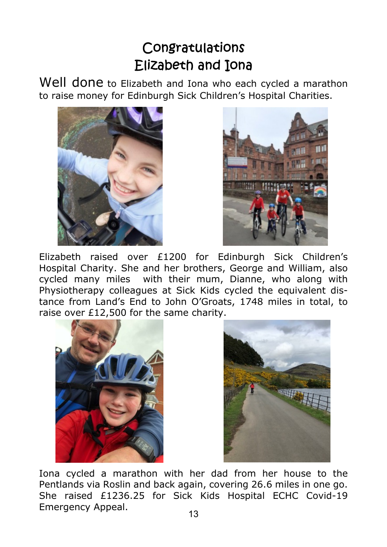#### Congratulations Elizabeth and Tona

Well done to Elizabeth and Iona who each cycled a marathon to raise money for Edinburgh Sick Children's Hospital Charities.





Elizabeth raised over £1200 for Edinburgh Sick Children's Hospital Charity. She and her brothers, George and William, also cycled many miles with their mum, Dianne, who along with Physiotherapy colleagues at Sick Kids cycled the equivalent distance from Land's End to John O'Groats, 1748 miles in total, to raise over £12,500 for the same charity.





Iona cycled a marathon with her dad from her house to the Pentlands via Roslin and back again, covering 26.6 miles in one go. She raised £1236.25 for Sick Kids Hospital ECHC Covid-19 Emergency Appeal.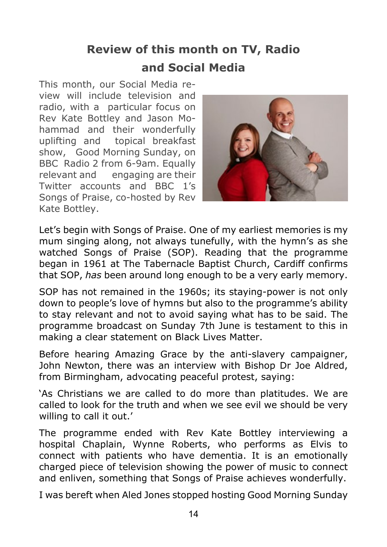#### **Review of this month on TV, Radio and Social Media**

This month, our Social Media review will include television and radio, with a particular focus on Rev Kate Bottley and Jason Mohammad and their wonderfully uplifting and topical breakfast show, Good Morning Sunday, on BBC Radio 2 from 6-9am. Equally relevant and engaging are their Twitter accounts and BBC 1's Songs of Praise, co-hosted by Rev Kate Bottley.



Let's begin with Songs of Praise. One of my earliest memories is my mum singing along, not always tunefully, with the hymn's as she watched Songs of Praise (SOP). Reading that the programme began in 1961 at The Tabernacle Baptist Church, Cardiff confirms that SOP, *has* been around long enough to be a very early memory.

SOP has not remained in the 1960s; its staying-power is not only down to people's love of hymns but also to the programme's ability to stay relevant and not to avoid saying what has to be said. The programme broadcast on Sunday 7th June is testament to this in making a clear statement on Black Lives Matter.

Before hearing Amazing Grace by the anti-slavery campaigner, John Newton, there was an interview with Bishop Dr Joe Aldred, from Birmingham, advocating peaceful protest, saying:

'As Christians we are called to do more than platitudes. We are called to look for the truth and when we see evil we should be very willing to call it out.'

The programme ended with Rev Kate Bottley interviewing a hospital Chaplain, Wynne Roberts, who performs as Elvis to connect with patients who have dementia. It is an emotionally charged piece of television showing the power of music to connect and enliven, something that Songs of Praise achieves wonderfully.

I was bereft when Aled Jones stopped hosting Good Morning Sunday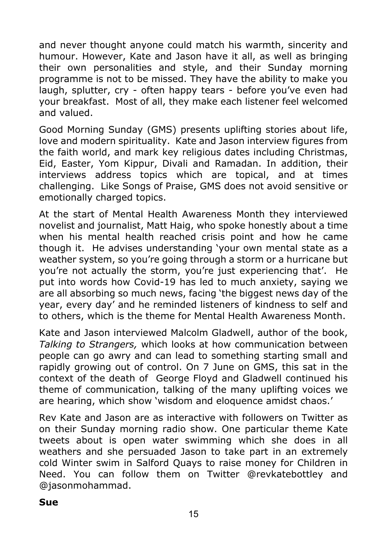and never thought anyone could match his warmth, sincerity and humour. However, Kate and Jason have it all, as well as bringing their own personalities and style, and their Sunday morning programme is not to be missed. They have the ability to make you laugh, splutter, cry - often happy tears - before you've even had your breakfast. Most of all, they make each listener feel welcomed and valued.

Good Morning Sunday (GMS) presents uplifting stories about life, love and modern spirituality. Kate and Jason interview figures from the faith world, and mark key religious dates including Christmas, Eid, Easter, Yom Kippur, Divali and Ramadan. In addition, their interviews address topics which are topical, and at times challenging. Like Songs of Praise, GMS does not avoid sensitive or emotionally charged topics.

At the start of Mental Health Awareness Month they interviewed novelist and journalist, Matt Haig, who spoke honestly about a time when his mental health reached crisis point and how he came though it. He advises understanding 'your own mental state as a weather system, so you're going through a storm or a hurricane but you're not actually the storm, you're just experiencing that'. He put into words how Covid-19 has led to much anxiety, saying we are all absorbing so much news, facing 'the biggest news day of the year, every day' and he reminded listeners of kindness to self and to others, which is the theme for Mental Health Awareness Month.

Kate and Jason interviewed Malcolm Gladwell, author of the book, *Talking to Strangers,* which looks at how communication between people can go awry and can lead to something starting small and rapidly growing out of control. On 7 June on GMS, this sat in the context of the death of George Floyd and Gladwell continued his theme of communication, talking of the many uplifting voices we are hearing, which show 'wisdom and eloquence amidst chaos.'

Rev Kate and Jason are as interactive with followers on Twitter as on their Sunday morning radio show. One particular theme Kate tweets about is open water swimming which she does in all weathers and she persuaded Jason to take part in an extremely cold Winter swim in Salford Quays to raise money for Children in Need. You can follow them on Twitter @revkatebottley and @jasonmohammad.

#### **Sue**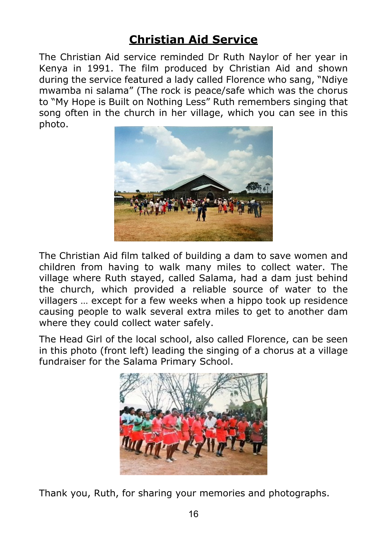#### **Christian Aid Service**

The Christian Aid service reminded Dr Ruth Naylor of her year in Kenya in 1991. The film produced by Christian Aid and shown during the service featured a lady called Florence who sang, "Ndiye mwamba ni salama" (The rock is peace/safe which was the chorus to "My Hope is Built on Nothing Less" Ruth remembers singing that song often in the church in her village, which you can see in this photo.



The Christian Aid film talked of building a dam to save women and children from having to walk many miles to collect water. The village where Ruth stayed, called Salama, had a dam just behind the church, which provided a reliable source of water to the villagers … except for a few weeks when a hippo took up residence causing people to walk several extra miles to get to another dam where they could collect water safely.

The Head Girl of the local school, also called Florence, can be seen in this photo (front left) leading the singing of a chorus at a village fundraiser for the Salama Primary School.



Thank you, Ruth, for sharing your memories and photographs.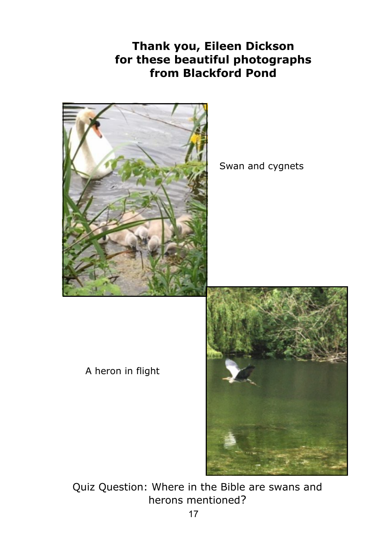#### **Thank you, Eileen Dickson for these beautiful photographs from Blackford Pond**



Swan and cygnets

A heron in flight



Quiz Question: Where in the Bible are swans and herons mentioned?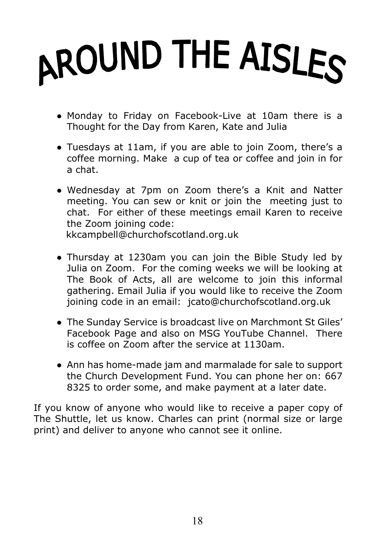# AROUND THE AISLES

- Monday to Friday on Facebook-Live at 10am there is a Thought for the Day from Karen, Kate and Julia
- Tuesdays at 11am, if you are able to join Zoom, there's a coffee morning. Make a cup of tea or coffee and join in for a chat.
- Wednesday at 7pm on Zoom there's a Knit and Natter meeting. You can sew or knit or join the meeting just to chat. For either of these meetings email Karen to receive the Zoom joining code: kkcampbell@churchofscotland.org.uk
- Thursday at 1230am you can join the Bible Study led by Julia on Zoom. For the coming weeks we will be looking at The Book of Acts, all are welcome to join this informal gathering. Email Julia if you would like to receive the Zoom joining code in an email: jcato@churchofscotland.org.uk
- The Sunday Service is broadcast live on Marchmont St Giles' Facebook Page and also on MSG YouTube Channel. There is coffee on Zoom after the service at 1130am.
- Ann has home-made jam and marmalade for sale to support the Church Development Fund. You can phone her on: 667 8325 to order some, and make payment at a later date.

If you know of anyone who would like to receive a paper copy of The Shuttle, let us know. Charles can print (normal size or large print) and deliver to anyone who cannot see it online.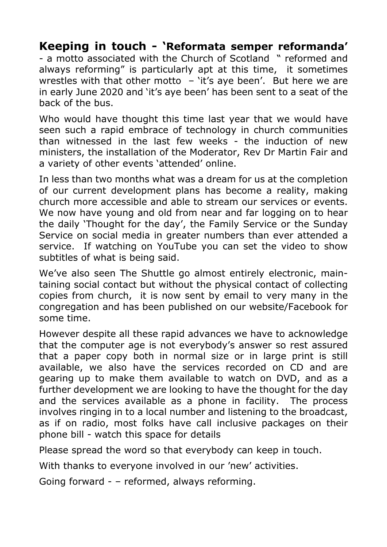#### **Keeping in touch - 'Reformata semper reformanda'**

- a motto associated with the Church of Scotland " reformed and always reforming" is particularly apt at this time, it sometimes wrestles with that other motto  $-$  'it's aye been'. But here we are in early June 2020 and 'it's aye been' has been sent to a seat of the back of the bus.

Who would have thought this time last year that we would have seen such a rapid embrace of technology in church communities than witnessed in the last few weeks - the induction of new ministers, the installation of the Moderator, Rev Dr Martin Fair and a variety of other events 'attended' online.

In less than two months what was a dream for us at the completion of our current development plans has become a reality, making church more accessible and able to stream our services or events. We now have young and old from near and far logging on to hear the daily 'Thought for the day', the Family Service or the Sunday Service on social media in greater numbers than ever attended a service. If watching on YouTube you can set the video to show subtitles of what is being said.

We've also seen The Shuttle go almost entirely electronic, maintaining social contact but without the physical contact of collecting copies from church, it is now sent by email to very many in the congregation and has been published on our website/Facebook for some time.

However despite all these rapid advances we have to acknowledge that the computer age is not everybody's answer so rest assured that a paper copy both in normal size or in large print is still available, we also have the services recorded on CD and are gearing up to make them available to watch on DVD, and as a further development we are looking to have the thought for the day and the services available as a phone in facility. The process involves ringing in to a local number and listening to the broadcast, as if on radio, most folks have call inclusive packages on their phone bill - watch this space for details

Please spread the word so that everybody can keep in touch.

With thanks to everyone involved in our 'new' activities.

Going forward - – reformed, always reforming.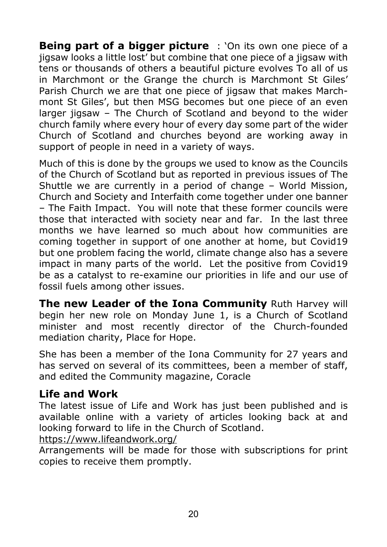**Being part of a bigger picture** : 'On its own one piece of a jigsaw looks a little lost' but combine that one piece of a jigsaw with tens or thousands of others a beautiful picture evolves To all of us in Marchmont or the Grange the church is Marchmont St Giles' Parish Church we are that one piece of jigsaw that makes Marchmont St Giles', but then MSG becomes but one piece of an even larger jigsaw – The Church of Scotland and beyond to the wider church family where every hour of every day some part of the wider Church of Scotland and churches beyond are working away in support of people in need in a variety of ways.

Much of this is done by the groups we used to know as the Councils of the Church of Scotland but as reported in previous issues of The Shuttle we are currently in a period of change – World Mission, Church and Society and Interfaith come together under one banner – The Faith Impact. You will note that these former councils were those that interacted with society near and far. In the last three months we have learned so much about how communities are coming together in support of one another at home, but Covid19 but one problem facing the world, climate change also has a severe impact in many parts of the world. Let the positive from Covid19 be as a catalyst to re-examine our priorities in life and our use of fossil fuels among other issues.

**The new Leader of the Iona Community** Ruth Harvey will begin her new role on Monday June 1, is a Church of Scotland minister and most recently director of the Church-founded mediation charity, Place for Hope.

She has been a member of the Iona Community for 27 years and has served on several of its committees, been a member of staff, and edited the Community magazine, Coracle

#### **Life and Work**

The latest issue of Life and Work has just been published and is available online with a variety of articles looking back at and looking forward to life in the Church of Scotland.

https://www.lifeandwork.org/

Arrangements will be made for those with subscriptions for print copies to receive them promptly.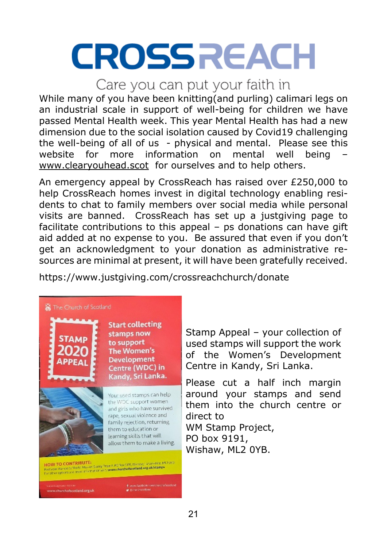# **CROSSREACH**

#### Care you can put your faith in

While many of you have been knitting(and purling) calimari legs on an industrial scale in support of well-being for children we have passed Mental Health week. This year Mental Health has had a new dimension due to the social isolation caused by Covid19 challenging the well-being of all of us - physical and mental. Please see this website for more information on mental well being website for more information on mental www.clearyouhead.scot for ourselves and to help others.

An emergency appeal by CrossReach has raised over £250,000 to help CrossReach homes invest in digital technology enabling residents to chat to family members over social media while personal visits are banned. CrossReach has set up a justgiving page to facilitate contributions to this appeal – ps donations can have gift aid added at no expense to you. Be assured that even if you don't get an acknowledgment to your donation as administrative resources are minimal at present, it will have been gratefully received.

https://www.justgiving.com/crossreachchurch/donate

#### 翼 The Church of Scotland **Start collecting** stamps now **STAMP** to support The Women's **Development APPEA** Centre (WDC) in Kandy, Sri Lanka. Your used stamps can help the WDC support women and girls who have survived rape, sexual violence and family rejection, returning them to education or learning skills that will allow them to make a living. ww.churchofscotland.org.uk

Stamp Appeal – your collection of used stamps will support the work of the Women's Development Centre in Kandy, Sri Lanka.

Please cut a half inch margin around your stamps and send them into the church centre or direct to WM Stamp Project,

PO box 9191, Wishaw, ML2 0YB.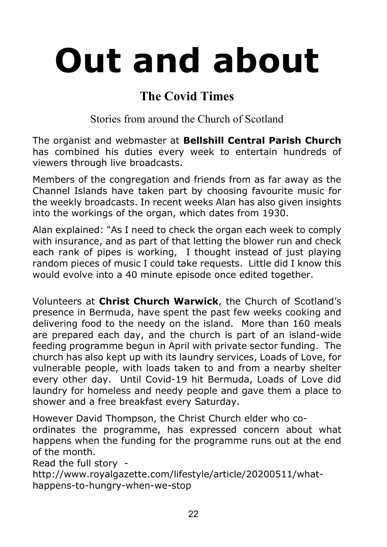# **Out and about**

#### **The Covid Times**

Stories from around the Church of Scotland

The organist and webmaster at **Bellshill Central Parish Church** has combined his duties every week to entertain hundreds of viewers through live broadcasts.

Members of the congregation and friends from as far away as the Channel Islands have taken part by choosing favourite music for the weekly broadcasts. In recent weeks Alan has also given insights into the workings of the organ, which dates from 1930.

Alan explained: "As I need to check the organ each week to comply with insurance, and as part of that letting the blower run and check each rank of pipes is working, I thought instead of just playing random pieces of music I could take requests. Little did I know this would evolve into a 40 minute episode once edited together.

Volunteers at **Christ Church Warwick**, the Church of Scotland's presence in Bermuda, have spent the past few weeks cooking and delivering food to the needy on the island. More than 160 meals are prepared each day, and the church is part of an island-wide feeding programme begun in April with private sector funding. The church has also kept up with its laundry services, Loads of Love, for vulnerable people, with loads taken to and from a nearby shelter every other day. Until Covid-19 hit Bermuda, Loads of Love did laundry for homeless and needy people and gave them a place to shower and a free breakfast every Saturday.

However David Thompson, the Christ Church elder who co-

ordinates the programme, has expressed concern about what happens when the funding for the programme runs out at the end of the month.

Read the full story -

http://www.royalgazette.com/lifestyle/article/20200511/whathappens-to-hungry-when-we-stop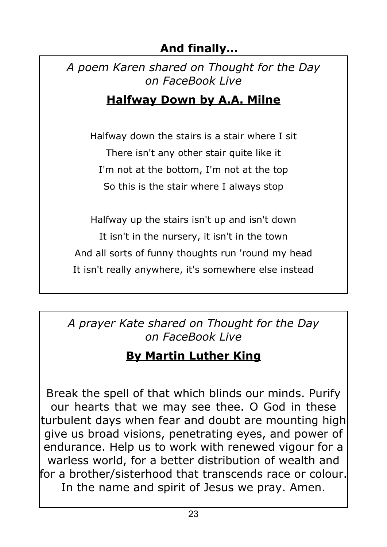#### **And finally…**

*A poem Karen shared on Thought for the Day on FaceBook Live*

#### **Halfway Down by A.A. Milne**

Halfway down the stairs is a stair where I sit There isn't any other stair quite like it I'm not at the bottom, I'm not at the top So this is the stair where I always stop

Halfway up the stairs isn't up and isn't down It isn't in the nursery, it isn't in the town And all sorts of funny thoughts run 'round my head It isn't really anywhere, it's somewhere else instead

*A prayer Kate shared on Thought for the Day on FaceBook Live*

#### **By Martin Luther King**

Break the spell of that which blinds our minds. Purify our hearts that we may see thee. O God in these turbulent days when fear and doubt are mounting high give us broad visions, penetrating eyes, and power of endurance. Help us to work with renewed vigour for a warless world, for a better distribution of wealth and for a brother/sisterhood that transcends race or colour. In the name and spirit of Jesus we pray. Amen.